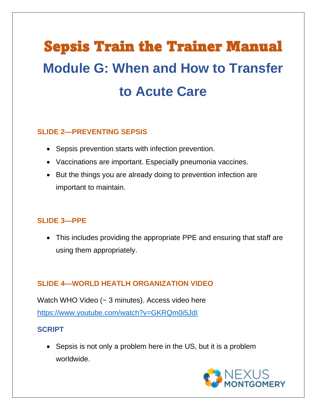# Sepsis Train the Trainer Manual **Module G: When and How to Transfer to Acute Care**

#### **SLIDE 2—PREVENTING SEPSIS**

- Sepsis prevention starts with infection prevention.
- Vaccinations are important. Especially pneumonia vaccines.
- But the things you are already doing to prevention infection are important to maintain.

## **SLIDE 3—PPE**

• This includes providing the appropriate PPE and ensuring that staff are using them appropriately.

## **SLIDE 4—WORLD HEATLH ORGANIZATION VIDEO**

Watch WHO Video (~ 3 minutes). Access video here [https://www.youtube.com/watch?v=GKRQm0i5JdI](about:blank)

## **SCRIPT**

• Sepsis is not only a problem here in the US, but it is a problem worldwide.

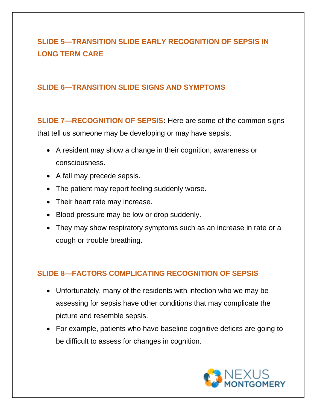# **SLIDE 5—TRANSITION SLIDE EARLY RECOGNITION OF SEPSIS IN LONG TERM CARE**

#### **SLIDE 6—TRANSITION SLIDE SIGNS AND SYMPTOMS**

**SLIDE 7—RECOGNITION OF SEPSIS:** Here are some of the common signs that tell us someone may be developing or may have sepsis.

- A resident may show a change in their cognition, awareness or consciousness.
- A fall may precede sepsis.
- The patient may report feeling suddenly worse.
- Their heart rate may increase.
- Blood pressure may be low or drop suddenly.
- They may show respiratory symptoms such as an increase in rate or a cough or trouble breathing.

## **SLIDE 8—FACTORS COMPLICATING RECOGNITION OF SEPSIS**

- Unfortunately, many of the residents with infection who we may be assessing for sepsis have other conditions that may complicate the picture and resemble sepsis.
- For example, patients who have baseline cognitive deficits are going to be difficult to assess for changes in cognition.

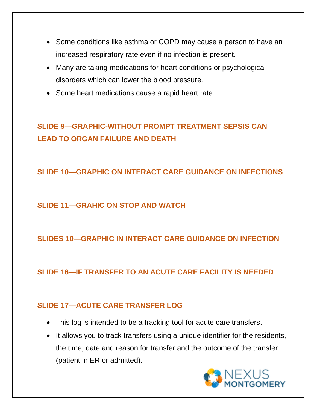- Some conditions like asthma or COPD may cause a person to have an increased respiratory rate even if no infection is present.
- Many are taking medications for heart conditions or psychological disorders which can lower the blood pressure.
- Some heart medications cause a rapid heart rate.

# **SLIDE 9—GRAPHIC-WITHOUT PROMPT TREATMENT SEPSIS CAN LEAD TO ORGAN FAILURE AND DEATH**

**SLIDE 10—GRAPHIC ON INTERACT CARE GUIDANCE ON INFECTIONS**

## **SLIDE 11—GRAHIC ON STOP AND WATCH**

# **SLIDES 10—GRAPHIC IN INTERACT CARE GUIDANCE ON INFECTION**

**SLIDE 16—IF TRANSFER TO AN ACUTE CARE FACILITY IS NEEDED**

## **SLIDE 17—ACUTE CARE TRANSFER LOG**

- This log is intended to be a tracking tool for acute care transfers.
- It allows you to track transfers using a unique identifier for the residents, the time, date and reason for transfer and the outcome of the transfer (patient in ER or admitted).

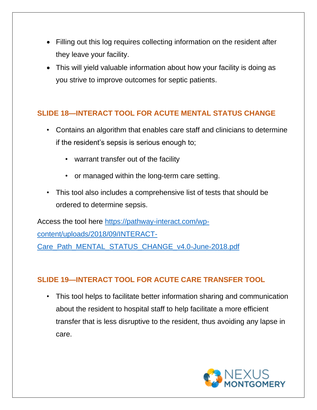- Filling out this log requires collecting information on the resident after they leave your facility.
- This will yield valuable information about how your facility is doing as you strive to improve outcomes for septic patients.

## **SLIDE 18—INTERACT TOOL FOR ACUTE MENTAL STATUS CHANGE**

- Contains an algorithm that enables care staff and clinicians to determine if the resident's sepsis is serious enough to;
	- warrant transfer out of the facility
	- or managed within the long-term care setting.
- This tool also includes a comprehensive list of tests that should be ordered to determine sepsis.

Access the tool here [https://pathway-interact.com/wp](about:blank)[content/uploads/2018/09/INTERACT-](about:blank)[Care\\_Path\\_MENTAL\\_STATUS\\_CHANGE\\_v4.0-June-2018.pdf](about:blank)

## **SLIDE 19—INTERACT TOOL FOR ACUTE CARE TRANSFER TOOL**

• This tool helps to facilitate better information sharing and communication about the resident to hospital staff to help facilitate a more efficient transfer that is less disruptive to the resident, thus avoiding any lapse in care.

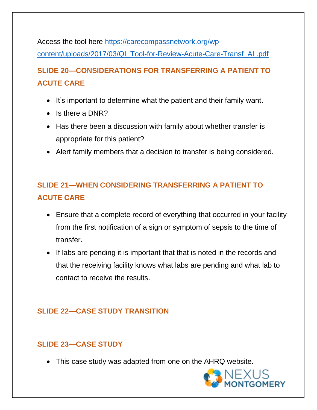Access the tool here [https://carecompassnetwork.org/wp](about:blank)[content/uploads/2017/03/QI\\_Tool-for-Review-Acute-Care-Transf\\_AL.pdf](about:blank)

# **SLIDE 20—CONSIDERATIONS FOR TRANSFERRING A PATIENT TO ACUTE CARE**

- It's important to determine what the patient and their family want.
- Is there a DNR?
- Has there been a discussion with family about whether transfer is appropriate for this patient?
- Alert family members that a decision to transfer is being considered.

# **SLIDE 21—WHEN CONSIDERING TRANSFERRING A PATIENT TO ACUTE CARE**

- Ensure that a complete record of everything that occurred in your facility from the first notification of a sign or symptom of sepsis to the time of transfer.
- If labs are pending it is important that that is noted in the records and that the receiving facility knows what labs are pending and what lab to contact to receive the results.

## **SLIDE 22—CASE STUDY TRANSITION**

## **SLIDE 23—CASE STUDY**

• This case study was adapted from one on the AHRQ website.

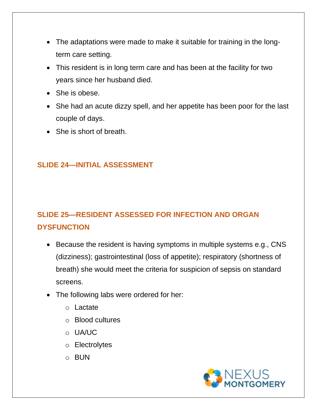- The adaptations were made to make it suitable for training in the longterm care setting.
- This resident is in long term care and has been at the facility for two years since her husband died.
- She is obese.
- She had an acute dizzy spell, and her appetite has been poor for the last couple of days.
- She is short of breath.

## **SLIDE 24—INITIAL ASSESSMENT**

# **SLIDE 25—RESIDENT ASSESSED FOR INFECTION AND ORGAN DYSFUNCTION**

- Because the resident is having symptoms in multiple systems e.g., CNS (dizziness); gastrointestinal (loss of appetite); respiratory (shortness of breath) she would meet the criteria for suspicion of sepsis on standard screens.
- The following labs were ordered for her:
	- o Lactate
	- o Blood cultures
	- o UA/UC
	- o Electrolytes
	- o BUN

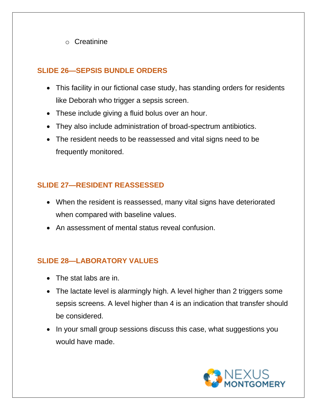o Creatinine

## **SLIDE 26—SEPSIS BUNDLE ORDERS**

- This facility in our fictional case study, has standing orders for residents like Deborah who trigger a sepsis screen.
- These include giving a fluid bolus over an hour.
- They also include administration of broad-spectrum antibiotics.
- The resident needs to be reassessed and vital signs need to be frequently monitored.

## **SLIDE 27—RESIDENT REASSESSED**

- When the resident is reassessed, many vital signs have deteriorated when compared with baseline values.
- An assessment of mental status reveal confusion.

## **SLIDE 28—LABORATORY VALUES**

- The stat labs are in.
- The lactate level is alarmingly high. A level higher than 2 triggers some sepsis screens. A level higher than 4 is an indication that transfer should be considered.
- In your small group sessions discuss this case, what suggestions you would have made.

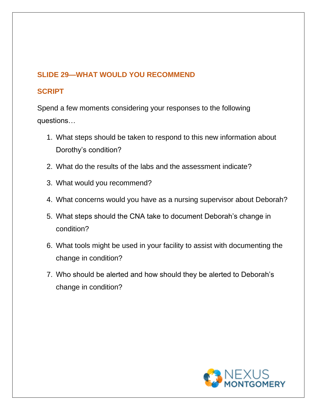## **SLIDE 29—WHAT WOULD YOU RECOMMEND**

## **SCRIPT**

Spend a few moments considering your responses to the following questions…

- 1. What steps should be taken to respond to this new information about Dorothy's condition?
- 2. What do the results of the labs and the assessment indicate?
- 3. What would you recommend?
- 4. What concerns would you have as a nursing supervisor about Deborah?
- 5. What steps should the CNA take to document Deborah's change in condition?
- 6. What tools might be used in your facility to assist with documenting the change in condition?
- 7. Who should be alerted and how should they be alerted to Deborah's change in condition?